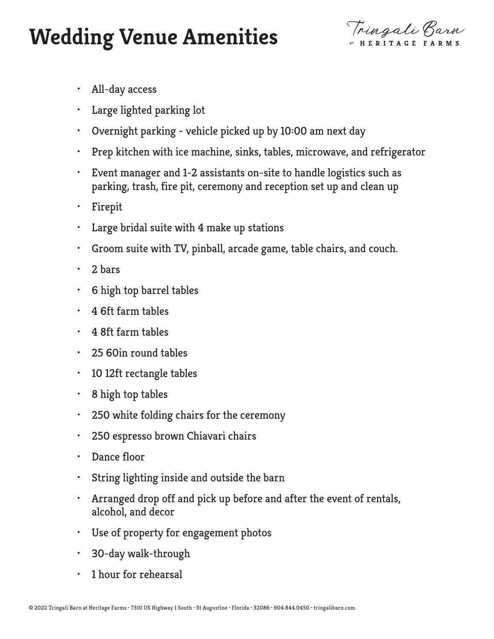## **Wedding Venue Amenities**

Tringali Barn

- All-day access
- Large lighted parking lot
- Overnight parking vehicle picked up by 10:00 am next day
- Prep kitchen with ice machine, sinks, tables, microwave, and refrigerator
- Event manager and 1-2 assistants on-site to handle logistics such as parking, trash, fire pit, ceremony and reception set up and clean up
- Firepit
- Large bridal suite with 4 make up stations
- Groom suite with TV, pinball, arcade game, table chairs, and couch.
- 2 bars
- 6 high top barrel tables
- 4 6ft farm tables
- 4 8ft farm tables
- 25 60in round tables
- 10 12ft rectangle tables
- $\cdot$  8 high top tables
- 250 white folding chairs for the ceremony
- 250 espresso brown Chiavari chairs
- Dance floor
- String lighting inside and outside the barn
- Arranged drop off and pick up before and after the event of rentals, alcohol, and decor
- Use of property for engagement photos
- 30-day walk-through
- 1 hour for rehearsal